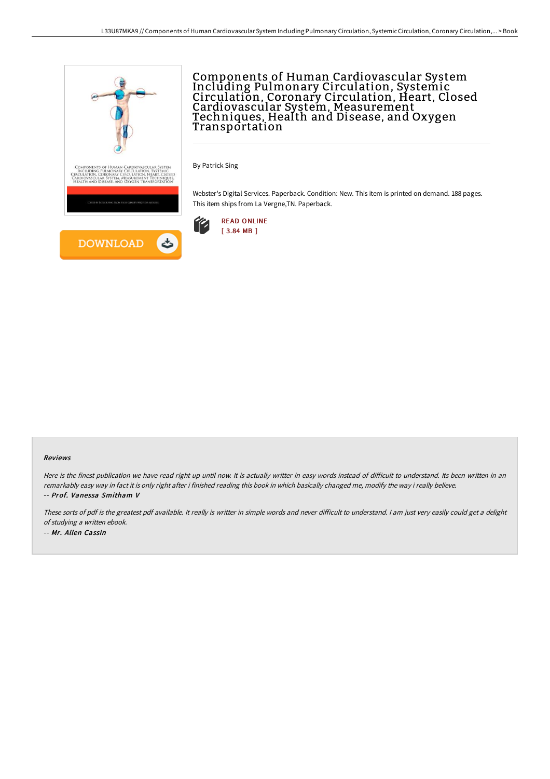

## Components of Human Cardiovascular System Including Pulmonary Circulation, Systemic Circulation, Coronary Circulation, Heart, Closed Cardiovascular System, Measurement Techniques, Health and Disease, and Oxygen **Transportation**

By Patrick Sing

Webster's Digital Services. Paperback. Condition: New. This item is printed on demand. 188 pages. This item ships from La Vergne,TN. Paperback.



## Reviews

Here is the finest publication we have read right up until now. It is actually writter in easy words instead of difficult to understand. Its been written in an remarkably easy way in fact it is only right after i finished reading this book in which basically changed me, modify the way i really believe. -- Prof. Vanessa Smitham V

These sorts of pdf is the greatest pdf available. It really is writter in simple words and never difficult to understand. I am just very easily could get a delight of studying <sup>a</sup> written ebook. -- Mr. Allen Cassin